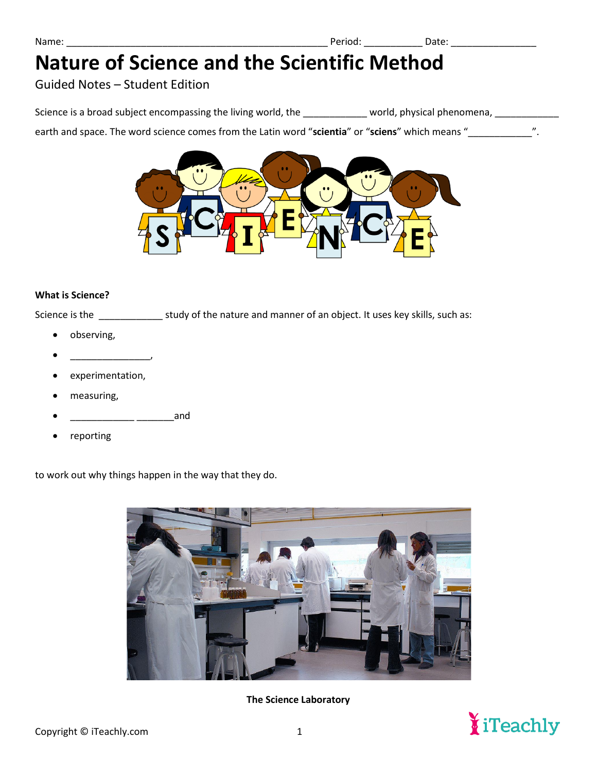### Guided Notes – Student Edition

Science is a broad subject encompassing the living world, the \_\_\_\_\_\_\_\_\_\_\_ world, physical phenomena, \_\_\_\_\_\_\_\_\_\_\_

earth and space. The word science comes from the Latin word "**scientia**" or "**sciens**" which means "\_\_\_\_\_\_\_\_\_\_\_\_".



#### **What is Science?**

Science is the \_\_\_\_\_\_\_\_\_\_\_\_\_\_\_ study of the nature and manner of an object. It uses key skills, such as:

- observing,
- $\overline{\phantom{a}}$
- experimentation,
- measuring,
- \_\_\_\_\_\_\_\_\_\_\_\_ \_\_\_\_\_\_\_and
- reporting

to work out why things happen in the way that they do.



**The Science Laboratory** 

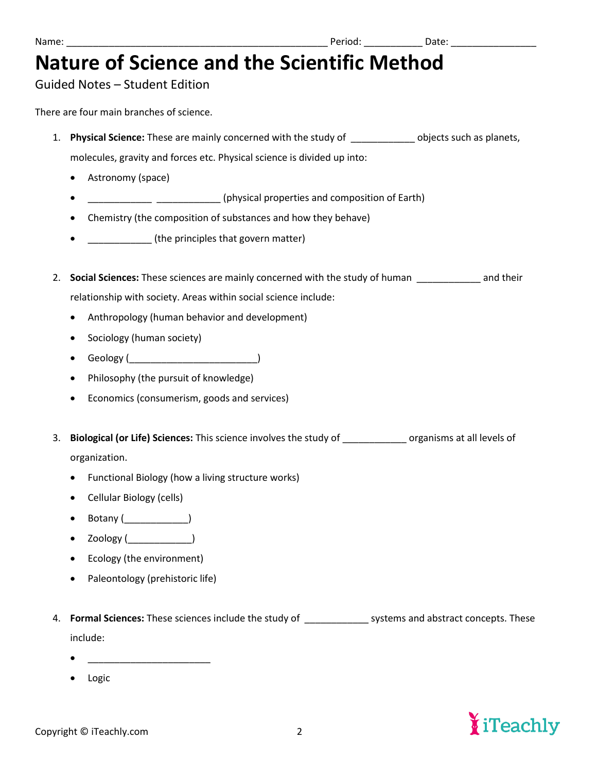### Guided Notes – Student Edition

There are four main branches of science.

- 1. **Physical Science:** These are mainly concerned with the study of \_\_\_\_\_\_\_\_\_\_\_\_ objects such as planets, molecules, gravity and forces etc. Physical science is divided up into:
	- Astronomy (space)
	- **\_\_\_\_\_\_\_\_\_\_\_\_** \_\_\_\_\_\_\_\_\_\_\_\_ (physical properties and composition of Earth)
	- Chemistry (the composition of substances and how they behave)
	- **•** (the principles that govern matter)
- 2. **Social Sciences:** These sciences are mainly concerned with the study of human \_\_\_\_\_\_\_\_\_\_\_\_ and their relationship with society. Areas within social science include:
	- Anthropology (human behavior and development)
	- Sociology (human society)
	- Geology ( $\qquad \qquad$
	- Philosophy (the pursuit of knowledge)
	- Economics (consumerism, goods and services)
- 3. **Biological (or Life) Sciences:** This science involves the study of \_\_\_\_\_\_\_\_\_\_\_\_ organisms at all levels of organization.
	- Functional Biology (how a living structure works)
	- Cellular Biology (cells)
	- Botany (\_\_\_\_\_\_\_\_\_\_\_\_\_\_\_\_)
	- $\mathsf{Zoology}$  (  $\qquad \qquad$  )
	- Ecology (the environment)
	- Paleontology (prehistoric life)
- 4. **Formal Sciences:** These sciences include the study of \_\_\_\_\_\_\_\_\_\_\_\_ systems and abstract concepts. These include:
	- $\bullet$   $\qquad \qquad$   $\qquad$   $\qquad$   $\qquad$   $\qquad$   $\qquad$   $\qquad$   $\qquad$   $\qquad$   $\qquad$   $\qquad$   $\qquad$   $\qquad$   $\qquad$   $\qquad$   $\qquad$   $\qquad$   $\qquad$   $\qquad$   $\qquad$   $\qquad$   $\qquad$   $\qquad$   $\qquad$   $\qquad$   $\qquad$   $\qquad$   $\qquad$   $\qquad$   $\qquad$   $\qquad$   $\qquad$   $\qquad$   $\qquad$   $\qquad$   $\q$
	- **Logic**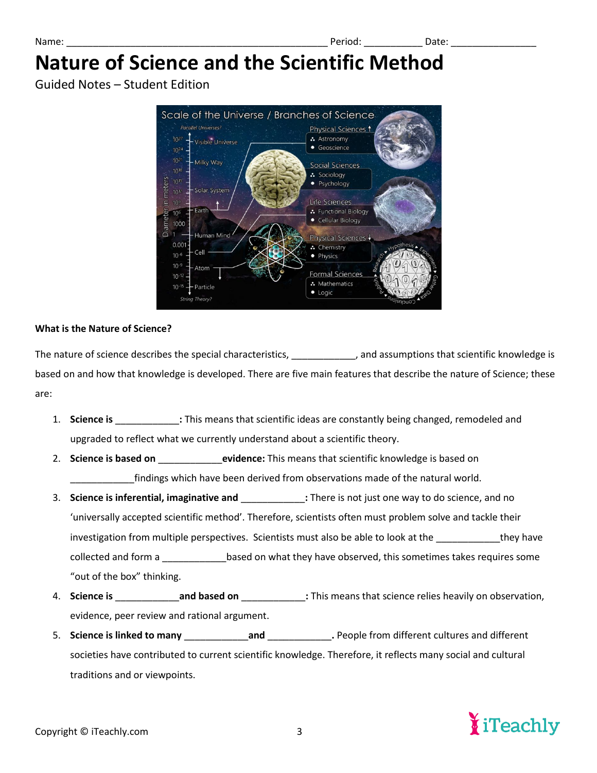Guided Notes – Student Edition



#### **What is the Nature of Science?**

The nature of science describes the special characteristics, \_\_\_\_\_\_\_\_\_\_\_\_, and assumptions that scientific knowledge is based on and how that knowledge is developed. There are five main features that describe the nature of Science; these are:

- 1. **Science is** \_\_\_\_\_\_\_\_\_\_\_\_: This means that scientific ideas are constantly being changed, remodeled and upgraded to reflect what we currently understand about a scientific theory.
- 2. **Science is based on <b>Exercice** evidence: This means that scientific knowledge is based on findings which have been derived from observations made of the natural world.
- 3. **Science is inferential, imaginative and** \_\_\_\_\_\_\_\_\_\_\_\_**:** There is not just one way to do science, and no 'universally accepted scientific method'. Therefore, scientists often must problem solve and tackle their investigation from multiple perspectives. Scientists must also be able to look at the \_\_\_\_\_\_\_\_\_\_\_they have collected and form a **based on what they have observed, this sometimes takes requires some** "out of the box" thinking.
- 4. **Science is** \_\_\_\_\_\_\_\_\_\_\_\_**and based on** \_\_\_\_\_\_\_\_\_\_\_\_**:** This means that science relies heavily on observation, evidence, peer review and rational argument.
- 5. **Science is linked to many** \_\_\_\_\_\_\_\_\_\_\_\_**and** \_\_\_\_\_\_\_\_\_\_\_\_**.** People from different cultures and different societies have contributed to current scientific knowledge. Therefore, it reflects many social and cultural traditions and or viewpoints.

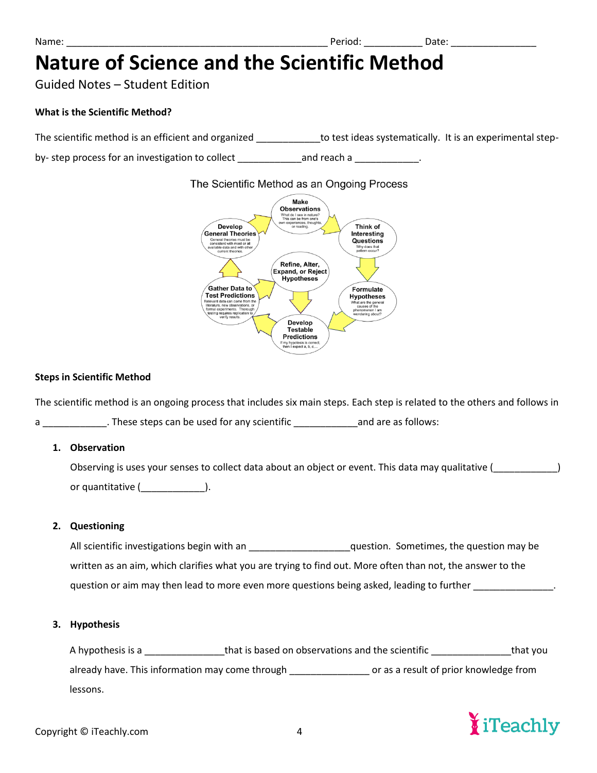Guided Notes – Student Edition

#### **What is the Scientific Method?**

The scientific method is an efficient and organized \_\_\_\_\_\_\_\_\_\_\_\_\_to test ideas systematically. It is an experimental step-

by- step process for an investigation to collect \_\_\_\_\_\_\_\_\_\_\_\_\_\_\_\_\_\_\_\_\_\_\_\_\_\_\_\_\_\_\_.

#### The Scientific Method as an Ongoing Process



#### **Steps in Scientific Method**

The scientific method is an ongoing process that includes six main steps. Each step is related to the others and follows in

a can allows: These steps can be used for any scientific and are as follows:

#### **1. Observation**

Observing is uses your senses to collect data about an object or event. This data may qualitative (\_\_\_\_\_\_\_\_\_\_\_\_) or quantitative (\_\_\_\_\_\_\_\_\_\_\_\_).

#### **2. Questioning**

All scientific investigations begin with an \_\_\_\_\_\_\_\_\_\_\_\_\_\_\_\_\_\_\_\_\_\_\_question. Sometimes, the question may be written as an aim, which clarifies what you are trying to find out. More often than not, the answer to the question or aim may then lead to more even more questions being asked, leading to further

#### **3. Hypothesis**

A hypothesis is a contract that is based on observations and the scientific contract that you already have. This information may come through \_\_\_\_\_\_\_\_\_\_\_\_\_\_\_\_\_\_\_ or as a result of prior knowledge from lessons.